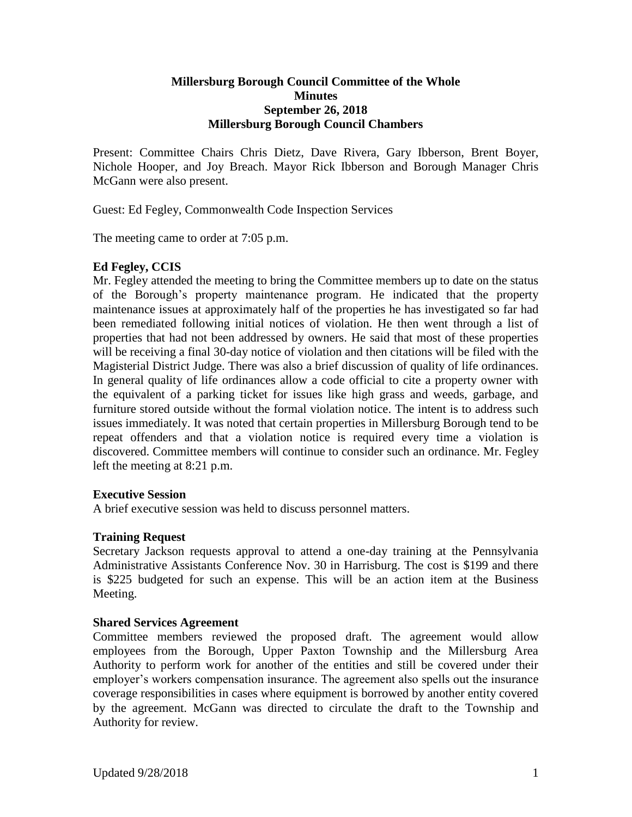# **Millersburg Borough Council Committee of the Whole Minutes September 26, 2018 Millersburg Borough Council Chambers**

Present: Committee Chairs Chris Dietz, Dave Rivera, Gary Ibberson, Brent Boyer, Nichole Hooper, and Joy Breach. Mayor Rick Ibberson and Borough Manager Chris McGann were also present.

Guest: Ed Fegley, Commonwealth Code Inspection Services

The meeting came to order at 7:05 p.m.

# **Ed Fegley, CCIS**

Mr. Fegley attended the meeting to bring the Committee members up to date on the status of the Borough's property maintenance program. He indicated that the property maintenance issues at approximately half of the properties he has investigated so far had been remediated following initial notices of violation. He then went through a list of properties that had not been addressed by owners. He said that most of these properties will be receiving a final 30-day notice of violation and then citations will be filed with the Magisterial District Judge. There was also a brief discussion of quality of life ordinances. In general quality of life ordinances allow a code official to cite a property owner with the equivalent of a parking ticket for issues like high grass and weeds, garbage, and furniture stored outside without the formal violation notice. The intent is to address such issues immediately. It was noted that certain properties in Millersburg Borough tend to be repeat offenders and that a violation notice is required every time a violation is discovered. Committee members will continue to consider such an ordinance. Mr. Fegley left the meeting at 8:21 p.m.

# **Executive Session**

A brief executive session was held to discuss personnel matters.

# **Training Request**

Secretary Jackson requests approval to attend a one-day training at the Pennsylvania Administrative Assistants Conference Nov. 30 in Harrisburg. The cost is \$199 and there is \$225 budgeted for such an expense. This will be an action item at the Business Meeting.

# **Shared Services Agreement**

Committee members reviewed the proposed draft. The agreement would allow employees from the Borough, Upper Paxton Township and the Millersburg Area Authority to perform work for another of the entities and still be covered under their employer's workers compensation insurance. The agreement also spells out the insurance coverage responsibilities in cases where equipment is borrowed by another entity covered by the agreement. McGann was directed to circulate the draft to the Township and Authority for review.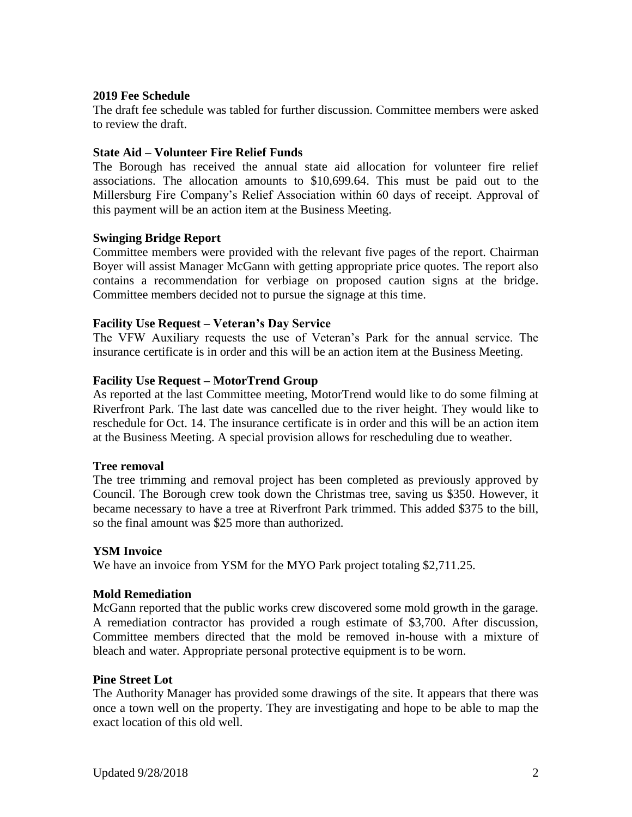## **2019 Fee Schedule**

The draft fee schedule was tabled for further discussion. Committee members were asked to review the draft.

## **State Aid – Volunteer Fire Relief Funds**

The Borough has received the annual state aid allocation for volunteer fire relief associations. The allocation amounts to \$10,699.64. This must be paid out to the Millersburg Fire Company's Relief Association within 60 days of receipt. Approval of this payment will be an action item at the Business Meeting.

### **Swinging Bridge Report**

Committee members were provided with the relevant five pages of the report. Chairman Boyer will assist Manager McGann with getting appropriate price quotes. The report also contains a recommendation for verbiage on proposed caution signs at the bridge. Committee members decided not to pursue the signage at this time.

### **Facility Use Request – Veteran's Day Service**

The VFW Auxiliary requests the use of Veteran's Park for the annual service. The insurance certificate is in order and this will be an action item at the Business Meeting.

### **Facility Use Request – MotorTrend Group**

As reported at the last Committee meeting, MotorTrend would like to do some filming at Riverfront Park. The last date was cancelled due to the river height. They would like to reschedule for Oct. 14. The insurance certificate is in order and this will be an action item at the Business Meeting. A special provision allows for rescheduling due to weather.

#### **Tree removal**

The tree trimming and removal project has been completed as previously approved by Council. The Borough crew took down the Christmas tree, saving us \$350. However, it became necessary to have a tree at Riverfront Park trimmed. This added \$375 to the bill, so the final amount was \$25 more than authorized.

#### **YSM Invoice**

We have an invoice from YSM for the MYO Park project totaling \$2,711.25.

#### **Mold Remediation**

McGann reported that the public works crew discovered some mold growth in the garage. A remediation contractor has provided a rough estimate of \$3,700. After discussion, Committee members directed that the mold be removed in-house with a mixture of bleach and water. Appropriate personal protective equipment is to be worn.

#### **Pine Street Lot**

The Authority Manager has provided some drawings of the site. It appears that there was once a town well on the property. They are investigating and hope to be able to map the exact location of this old well.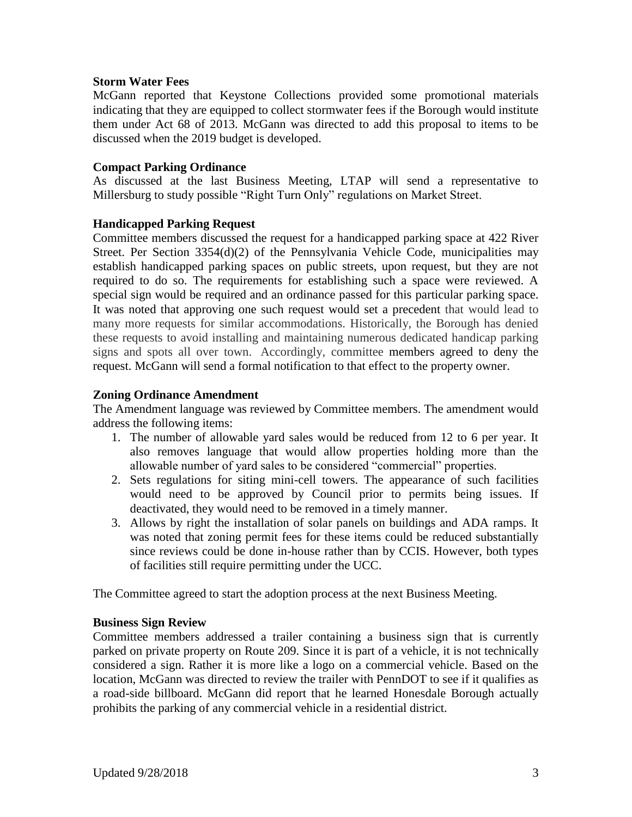# **Storm Water Fees**

McGann reported that Keystone Collections provided some promotional materials indicating that they are equipped to collect stormwater fees if the Borough would institute them under Act 68 of 2013. McGann was directed to add this proposal to items to be discussed when the 2019 budget is developed.

## **Compact Parking Ordinance**

As discussed at the last Business Meeting, LTAP will send a representative to Millersburg to study possible "Right Turn Only" regulations on Market Street.

### **Handicapped Parking Request**

Committee members discussed the request for a handicapped parking space at 422 River Street. Per Section 3354(d)(2) of the Pennsylvania Vehicle Code, municipalities may establish handicapped parking spaces on public streets, upon request, but they are not required to do so. The requirements for establishing such a space were reviewed. A special sign would be required and an ordinance passed for this particular parking space. It was noted that approving one such request would set a precedent that would lead to many more requests for similar accommodations. Historically, the Borough has denied these requests to avoid installing and maintaining numerous dedicated handicap parking signs and spots all over town. Accordingly, committee members agreed to deny the request. McGann will send a formal notification to that effect to the property owner.

### **Zoning Ordinance Amendment**

The Amendment language was reviewed by Committee members. The amendment would address the following items:

- 1. The number of allowable yard sales would be reduced from 12 to 6 per year. It also removes language that would allow properties holding more than the allowable number of yard sales to be considered "commercial" properties.
- 2. Sets regulations for siting mini-cell towers. The appearance of such facilities would need to be approved by Council prior to permits being issues. If deactivated, they would need to be removed in a timely manner.
- 3. Allows by right the installation of solar panels on buildings and ADA ramps. It was noted that zoning permit fees for these items could be reduced substantially since reviews could be done in-house rather than by CCIS. However, both types of facilities still require permitting under the UCC.

The Committee agreed to start the adoption process at the next Business Meeting.

#### **Business Sign Review**

Committee members addressed a trailer containing a business sign that is currently parked on private property on Route 209. Since it is part of a vehicle, it is not technically considered a sign. Rather it is more like a logo on a commercial vehicle. Based on the location, McGann was directed to review the trailer with PennDOT to see if it qualifies as a road-side billboard. McGann did report that he learned Honesdale Borough actually prohibits the parking of any commercial vehicle in a residential district.